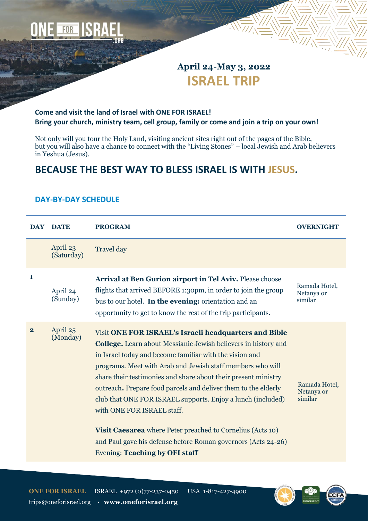

# **April 24-May 3, 2022 ISRAEL TRIP**

### **Come and visit the land of Israel with ONE FOR ISRAEL! Bring your church, ministry team, cell group, family or come and join a trip on your own!**

Not only will you tour the Holy Land, visiting ancient sites right out of the pages of the Bible, but you will also have a chance to connect with the "Living Stones" – local Jewish and Arab believers in Yeshua (Jesus).

# **BECAUSE THE BEST WAY TO BLESS ISRAEL IS WITH JESUS.**

#### **DAY DATE PROGRAM OVERNIGHT** April 23 (Saturday) Travel day **1** April 24 (Sunday) **Arrival at Ben Gurion airport in Tel Aviv.** Please choose flights that arrived BEFORE 1:30pm, in order to join the group bus to our hotel. **In the evening:** orientation and an opportunity to get to know the rest of the trip participants. Ramada Hotel, Netanya or similar **2** April 25 (Monday) Visit **ONE FOR ISRAEL's Israeli headquarters and Bible College.** Learn about Messianic Jewish believers in history and in Israel today and become familiar with the vision and programs. Meet with Arab and Jewish staff members who will share their testimonies and share about their present ministry outreach**.** Prepare food parcels and deliver them to the elderly club that ONE FOR ISRAEL supports. Enjoy a lunch (included) with ONE FOR ISRAEL staff. **Visit Caesarea** where Peter preached to Cornelius (Acts 10) and Paul gave his defense before Roman governors (Acts 24-26) Evening: **Teaching by OFI staff** Ramada Hotel, Netanya or similar

### **DAY-BY-DAY SCHEDULE**

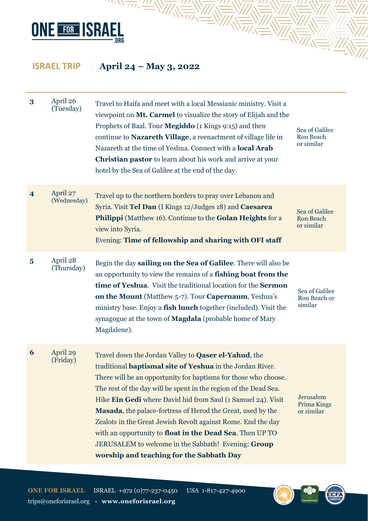

 $\overline{W}$ 

| 3                       | April 26<br>(Tuesday)   | Travel to Haifa and meet with a local Messianic ministry. Visit a<br>viewpoint on Mt. Carmel to visualize the story of Elijah and the<br>Prophets of Baal. Tour Megiddo (1 Kings 9:15) and then<br>continue to Nazareth Village, a reenactment of village life in<br>Nazareth at the time of Yeshua. Connect with a <b>local Arab</b><br><b>Christian pastor</b> to learn about his work and arrive at your<br>hotel by the Sea of Galilee at the end of the day.                                                                                                                                                                             | Sea of Galilee<br>Ron Beach<br>or similar        |
|-------------------------|-------------------------|-----------------------------------------------------------------------------------------------------------------------------------------------------------------------------------------------------------------------------------------------------------------------------------------------------------------------------------------------------------------------------------------------------------------------------------------------------------------------------------------------------------------------------------------------------------------------------------------------------------------------------------------------|--------------------------------------------------|
| $\overline{\mathbf{4}}$ | April 27<br>(Wednesday) | Travel up to the northern borders to pray over Lebanon and<br>Syria. Visit Tel Dan (I Kings 12/Judges 18) and Caesarea<br>Philippi (Matthew 16). Continue to the Golan Heights for a<br>view into Syria.<br><b>Evening: Time of fellowship and sharing with OFI staff</b>                                                                                                                                                                                                                                                                                                                                                                     | Sea of Galilee<br><b>Ron Beach</b><br>or similar |
| $\overline{\mathbf{5}}$ | April 28<br>(Thursday)  | Begin the day sailing on the Sea of Galilee. There will also be<br>an opportunity to view the remains of a fishing boat from the<br>time of Yeshua. Visit the traditional location for the Sermon<br>on the Mount (Matthew 5-7). Tour Capernaum, Yeshua's<br>ministry base. Enjoy a fish lunch together (included). Visit the<br>synagogue at the town of <b>Magdala</b> (probable home of Mary<br>Magdalene).                                                                                                                                                                                                                                | Sea of Galilee<br>Ron Beach or<br>similar        |
| 6                       | April 29<br>(Friday)    | Travel down the Jordan Valley to <b>Qaser el-Yahud</b> , the<br>traditional <b>baptismal site of Yeshua</b> in the Jordan River.<br>There will be an opportunity for baptisms for those who choose.<br>The rest of the day will be spent in the region of the Dead Sea.<br>Hike Ein Gedi where David hid from Saul (1 Samuel 24). Visit<br>Masada, the palace-fortress of Herod the Great, used by the<br>Zealots in the Great Jewish Revolt against Rome. End the day<br>with an opportunity to <b>float in the Dead Sea</b> . Then UP TO<br>JERUSALEM to welcome in the Sabbath! Evening: Group<br>worship and teaching for the Sabbath Day | Jerusalem<br>Prima Kings<br>or similar           |



 $\equiv$ 

 $\left\langle \sqrt{\epsilon}\right\rangle$ 

ECF/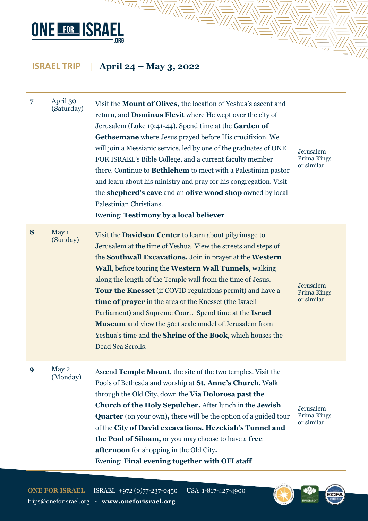

 $\overline{\mathcal{W}}\mathcal{W}^{\prime\prime\prime}\mathcal{W}^{\prime\prime}$ 

| 7 | April 30<br>(Saturday) | Visit the <b>Mount of Olives</b> , the location of Yeshua's ascent and<br>return, and <b>Dominus Flevit</b> where He wept over the city of<br>Jerusalem (Luke 19:41-44). Spend time at the Garden of<br>Gethsemane where Jesus prayed before His crucifixion. We<br>will join a Messianic service, led by one of the graduates of ONE<br>FOR ISRAEL's Bible College, and a current faculty member<br>there. Continue to <b>Bethlehem</b> to meet with a Palestinian pastor<br>and learn about his ministry and pray for his congregation. Visit<br>the shepherd's cave and an olive wood shop owned by local<br>Palestinian Christians.<br>Evening: Testimony by a local believer | Jerusalem<br>Prima Kings<br>or similar |
|---|------------------------|-----------------------------------------------------------------------------------------------------------------------------------------------------------------------------------------------------------------------------------------------------------------------------------------------------------------------------------------------------------------------------------------------------------------------------------------------------------------------------------------------------------------------------------------------------------------------------------------------------------------------------------------------------------------------------------|----------------------------------------|
| 8 | May 1<br>(Sunday)      | Visit the <b>Davidson Center</b> to learn about pilgrimage to<br>Jerusalem at the time of Yeshua. View the streets and steps of<br>the Southwall Excavations. Join in prayer at the Western<br>Wall, before touring the Western Wall Tunnels, walking<br>along the length of the Temple wall from the time of Jesus.<br><b>Tour the Knesset</b> (if COVID regulations permit) and have a<br><b>time of prayer</b> in the area of the Knesset (the Israeli<br>Parliament) and Supreme Court. Spend time at the Israel<br><b>Museum</b> and view the 50:1 scale model of Jerusalem from<br>Yeshua's time and the <b>Shrine of the Book</b> , which houses the<br>Dead Sea Scrolls.  | Jerusalem<br>Prima Kings<br>or similar |
| 9 | May 2<br>(Monday)      | Ascend Temple Mount, the site of the two temples. Visit the<br>Pools of Bethesda and worship at <b>St. Anne's Church</b> . Walk<br>through the Old City, down the Via Dolorosa past the<br><b>Church of the Holy Sepulcher.</b> After lunch in the <b>Jewish</b><br><b>Quarter</b> (on your own), there will be the option of a guided tour<br>of the City of David excavations, Hezekiah's Tunnel and<br>the Pool of Siloam, or you may choose to have a free<br>afternoon for shopping in the Old City.<br>Evening: Final evening together with OFI staff                                                                                                                       | Jerusalem<br>Prima Kings<br>or similar |



 $\sqrt{\frac{1}{1-\lambda}}$ 

ECF/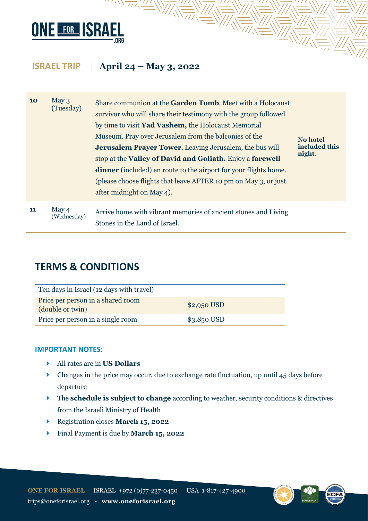

7'''' \

| <b>10</b> | May <sub>3</sub><br>(Tuesday) | Share communion at the <b>Garden Tomb</b> . Meet with a Holocaust<br>survivor who will share their testimony with the group followed<br>by time to visit <b>Yad Vashem</b> , the Holocaust Memorial<br>Museum. Pray over Jerusalem from the balconies of the<br><b>Jerusalem Prayer Tower.</b> Leaving Jerusalem, the bus will<br>stop at the <b>Valley of David and Goliath.</b> Enjoy a <b>farewell</b><br><b>dinner</b> (included) en route to the airport for your flights home.<br>(please choose flights that leave AFTER 10 pm on May 3, or just<br>after midnight on May 4). | <b>No hotel</b><br>included this<br>night. |
|-----------|-------------------------------|--------------------------------------------------------------------------------------------------------------------------------------------------------------------------------------------------------------------------------------------------------------------------------------------------------------------------------------------------------------------------------------------------------------------------------------------------------------------------------------------------------------------------------------------------------------------------------------|--------------------------------------------|
| 11        | May 4<br>(Wednesday)          | Arrive home with vibrant memories of ancient stones and Living<br>Stones in the Land of Israel.                                                                                                                                                                                                                                                                                                                                                                                                                                                                                      |                                            |

 $\mathbb{R}\mathbb{W}$ 

# **TERMS & CONDITIONS**

| Ten days in Israel (12 days with travel)              |              |  |
|-------------------------------------------------------|--------------|--|
| Price per person in a shared room<br>(double or twin) | $$2,950$ USD |  |
| Price per person in a single room                     | $$3,850$ USD |  |

### **IMPORTANT NOTES:**

- All rates are in **US Dollars**
- Changes in the price may occur, due to exchange rate fluctuation, up until 45 days before departure
- The **schedule is subject to change** according to weather, security conditions & directives from the Israeli Ministry of Health
- Registration closes **March 15, 2022**
- Final Payment is due by **March 15, 2022**



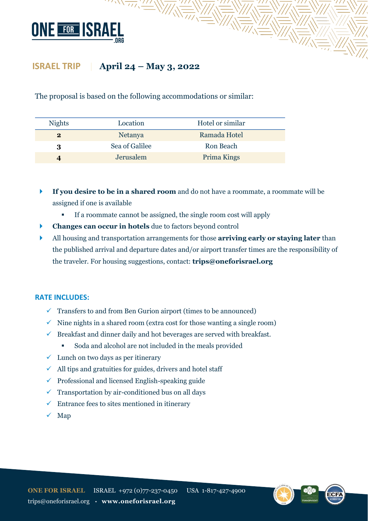

The proposal is based on the following accommodations or similar:

| <b>Nights</b> | Location       | Hotel or similar |
|---------------|----------------|------------------|
| $\bf{2}$      | <b>Netanya</b> | Ramada Hotel     |
| 3             | Sea of Galilee | Ron Beach        |
|               | Jerusalem      | Prima Kings      |

- **If you desire to be in a shared room** and do not have a roommate, a roommate will be assigned if one is available
	- **•** If a roommate cannot be assigned, the single room cost will apply
- **Changes can occur in hotels** due to factors beyond control
- All housing and transportation arrangements for those **arriving early or staying later** than the published arrival and departure dates and/or airport transfer times are the responsibility of the traveler. For housing suggestions, contact: **trips@oneforisrael.org**

#### **RATE INCLUDES:**

- $\checkmark$  Transfers to and from Ben Gurion airport (times to be announced)
- $\checkmark$  Nine nights in a shared room (extra cost for those wanting a single room)
- $\checkmark$  Breakfast and dinner daily and hot beverages are served with breakfast.
	- Soda and alcohol are not included in the meals provided
- $\checkmark$  Lunch on two days as per itinerary
- $\checkmark$  All tips and gratuities for guides, drivers and hotel staff
- $\checkmark$  Professional and licensed English-speaking guide
- $\checkmark$  Transportation by air-conditioned bus on all days
- $\checkmark$  Entrance fees to sites mentioned in itinerary
- $\checkmark$  Map

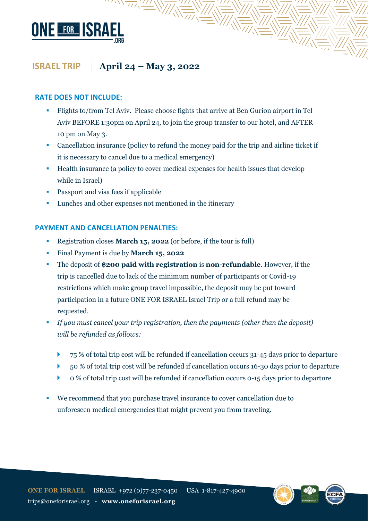

 $\sqrt{2\pi/2}$ 

#### **RATE DOES NOT INCLUDE:**

▪ Flights to/from Tel Aviv. Please choose fights that arrive at Ben Gurion airport in Tel Aviv BEFORE 1:30pm on April 24, to join the group transfer to our hotel, and AFTER 10 pm on May 3.

 $\frac{1}{\sqrt{2\pi}}\sqrt{\frac{1}{\sqrt{2\pi}}}\sqrt{\frac{1}{\sqrt{2\pi}}}\sqrt{\frac{1}{\sqrt{2\pi}}}\sqrt{\frac{1}{\sqrt{2\pi}}}\sqrt{\frac{1}{\sqrt{2\pi}}}\sqrt{\frac{1}{\sqrt{2\pi}}}\sqrt{\frac{1}{\sqrt{2\pi}}}\sqrt{\frac{1}{\sqrt{2\pi}}}\sqrt{\frac{1}{\sqrt{2\pi}}}\sqrt{\frac{1}{\sqrt{2\pi}}}\sqrt{\frac{1}{\sqrt{2\pi}}}\sqrt{\frac{1}{\sqrt{2\pi}}}\sqrt{\frac{1}{\sqrt{2\pi}}}\sqrt{\frac{1}{\sqrt{2\pi}}}\sqrt{\frac{1}{\sqrt{2\$ 

- Cancellation insurance (policy to refund the money paid for the trip and airline ticket if it is necessary to cancel due to a medical emergency)
- Health insurance (a policy to cover medical expenses for health issues that develop while in Israel)
- Passport and visa fees if applicable
- Lunches and other expenses not mentioned in the itinerary

#### **PAYMENT AND CANCELLATION PENALTIES:**

- Registration closes **March 15, 2022** (or before, if the tour is full)
- Final Payment is due by **March 15, 2022**
- The deposit of **\$200 paid with registration** is **non-refundable**. However, if the trip is cancelled due to lack of the minimum number of participants or Covid-19 restrictions which make group travel impossible, the deposit may be put toward participation in a future ONE FOR ISRAEL Israel Trip or a full refund may be requested.
- *If you must cancel your trip registration, then the payments (other than the deposit) will be refunded as follows:*
	- 75 % of total trip cost will be refunded if cancellation occurs 31-45 days prior to departure
	- 50 % of total trip cost will be refunded if cancellation occurs 16-30 days prior to departure
	- 0 % of total trip cost will be refunded if cancellation occurs 0-15 days prior to departure
- We recommend that you purchase travel insurance to cover cancellation due to unforeseen medical emergencies that might prevent you from traveling.

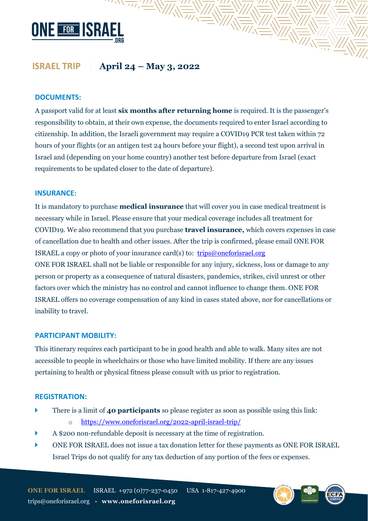

 $\sqrt{\frac{1}{2}}$ 

#### **DOCUMENTS:**

A passport valid for at least **six months after returning home** is required. It is the passenger's responsibility to obtain, at their own expense, the documents required to enter Israel according to citizenship. In addition, the Israeli government may require a COVID19 PCR test taken within 72 hours of your flights (or an antigen test 24 hours before your flight), a second test upon arrival in Israel and (depending on your home country) another test before departure from Israel (exact requirements to be updated closer to the date of departure).

#### **INSURANCE:**

It is mandatory to purchase **medical insurance** that will cover you in case medical treatment is necessary while in Israel. Please ensure that your medical coverage includes all treatment for COVID19. We also recommend that you purchase **travel insurance,** which covers expenses in case of cancellation due to health and other issues. After the trip is confirmed, please email ONE FOR ISRAEL a copy or photo of your insurance card(s) to: [trips@oneforisrael.org](mailto:trips@oneforisrael.org) ONE FOR ISRAEL shall not be liable or responsible for any injury, sickness, loss or damage to any person or property as a consequence of natural disasters, pandemics, strikes, civil unrest or other factors over which the ministry has no control and cannot influence to change them. ONE FOR ISRAEL offers no coverage compensation of any kind in cases stated above, nor for cancellations or inability to travel.

#### **PARTICIPANT MOBILITY:**

This itinerary requires each participant to be in good health and able to walk. Many sites are not accessible to people in wheelchairs or those who have limited mobility. If there are any issues pertaining to health or physical fitness please consult with us prior to registration.

#### **REGISTRATION:**

- There is a limit of **40 participants** so please register as soon as possible using this link:
	- o <https://www.oneforisrael.org/2022-april-israel-trip/>
- A \$200 non-refundable deposit is necessary at the time of registration.
- ONE FOR ISRAEL does not issue a tax donation letter for these payments as ONE FOR ISRAEL Israel Trips do not qualify for any tax deduction of any portion of the fees or expenses.

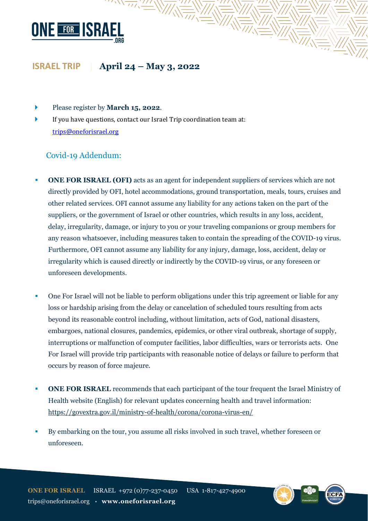

- Please register by **March 15, 2022**.
- If you have questions, contact our Israel Trip coordination team at: [trips@oneforisrael.org](mailto:trips@oneforisrael.org)

 $\sqrt{\frac{1}{2}}$ 

### Covid-19 Addendum:

**• ONE FOR ISRAEL (OFI)** acts as an agent for independent suppliers of services which are not directly provided by OFI, hotel accommodations, ground transportation, meals, tours, cruises and other related services. OFI cannot assume any liability for any actions taken on the part of the suppliers, or the government of Israel or other countries, which results in any loss, accident, delay, irregularity, damage, or injury to you or your traveling companions or group members for any reason whatsoever, including measures taken to contain the spreading of the COVID-19 virus. Furthermore, OFI cannot assume any liability for any injury, damage, loss, accident, delay or irregularity which is caused directly or indirectly by the COVID-19 virus, or any foreseen or unforeseen developments.

- One For Israel will not be liable to perform obligations under this trip agreement or liable for any loss or hardship arising from the delay or cancelation of scheduled tours resulting from acts beyond its reasonable control including, without limitation, acts of God, national disasters, embargoes, national closures, pandemics, epidemics, or other viral outbreak, shortage of supply, interruptions or malfunction of computer facilities, labor difficulties, wars or terrorists acts. One For Israel will provide trip participants with reasonable notice of delays or failure to perform that occurs by reason of force majeure.
- **ONE FOR ISRAEL** recommends that each participant of the tour frequent the Israel Ministry of Health website (English) for relevant updates concerning health and travel information: <https://govextra.gov.il/ministry-of-health/corona/corona-virus-en/>
- By embarking on the tour, you assume all risks involved in such travel, whether foreseen or unforeseen.